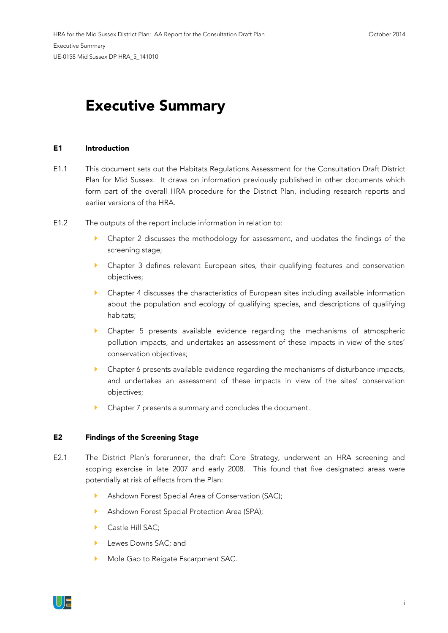## **Executive Summary**

## **E1 Introduction**

- E1.1 This document sets out the Habitats Regulations Assessment for the Consultation Draft District Plan for Mid Sussex. It draws on information previously published in other documents which form part of the overall HRA procedure for the District Plan, including research reports and earlier versions of the HRA.
- E1.2 The outputs of the report include information in relation to:
	- Chapter 2 discusses the methodology for assessment, and updates the findings of the screening stage;
	- Chapter 3 defines relevant European sites, their qualifying features and conservation objectives;
	- Chapter 4 discusses the characteristics of European sites including available information about the population and ecology of qualifying species, and descriptions of qualifying habitats;
	- Chapter 5 presents available evidence regarding the mechanisms of atmospheric pollution impacts, and undertakes an assessment of these impacts in view of the sites' conservation objectives;
	- Chapter 6 presents available evidence regarding the mechanisms of disturbance impacts, and undertakes an assessment of these impacts in view of the sites' conservation objectives;
	- Chapter 7 presents a summary and concludes the document.

## **E2 Findings of the Screening Stage**

- E2.1 The District Plan's forerunner, the draft Core Strategy, underwent an HRA screening and scoping exercise in late 2007 and early 2008. This found that five designated areas were potentially at risk of effects from the Plan:
	- Ashdown Forest Special Area of Conservation (SAC);
	- Ashdown Forest Special Protection Area (SPA);
	- Castle Hill SAC:
	- Lewes Downs SAC; and
	- Mole Gap to Reigate Escarpment SAC.